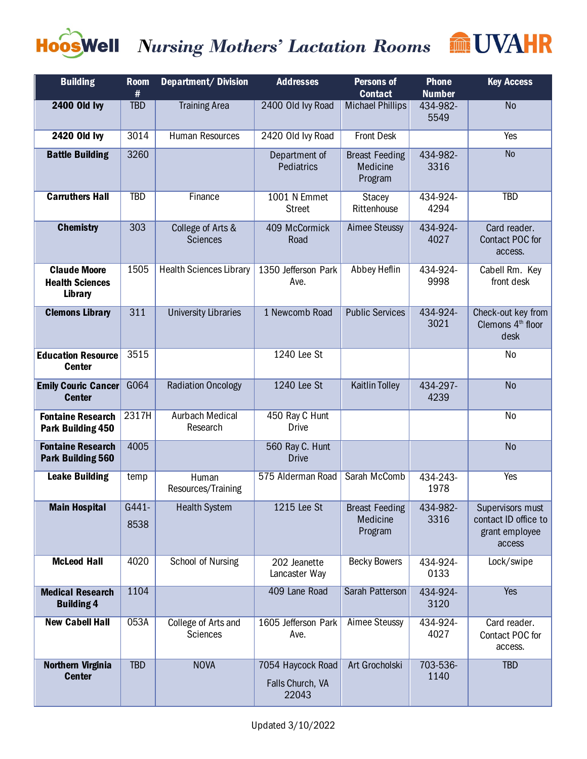

## *Nursing Mothers' Lactation Rooms*



| <b>Building</b>                                          | <b>Room</b><br># | <b>Department/Division</b>           | <b>Addresses</b>                               | <b>Persons of</b><br><b>Contact</b>          | <b>Phone</b><br><b>Number</b> | <b>Key Access</b>                                                    |
|----------------------------------------------------------|------------------|--------------------------------------|------------------------------------------------|----------------------------------------------|-------------------------------|----------------------------------------------------------------------|
| <b>2400 Old Ivy</b>                                      | <b>TBD</b>       | <b>Training Area</b>                 | 2400 Old Ivy Road                              | <b>Michael Phillips</b>                      | 434-982-<br>5549              | N <sub>o</sub>                                                       |
| <b>2420 Old Ivy</b>                                      | 3014             | Human Resources                      | 2420 Old Ivy Road                              | <b>Front Desk</b>                            |                               | Yes                                                                  |
| <b>Battle Building</b>                                   | 3260             |                                      | Department of<br><b>Pediatrics</b>             | <b>Breast Feeding</b><br>Medicine<br>Program | 434-982-<br>3316              | <b>No</b>                                                            |
| <b>Carruthers Hall</b>                                   | <b>TBD</b>       | Finance                              | 1001 N Emmet<br><b>Street</b>                  | <b>Stacey</b><br>Rittenhouse                 | 434-924-<br>4294              | <b>TBD</b>                                                           |
| <b>Chemistry</b>                                         | 303              | College of Arts &<br><b>Sciences</b> | 409 McCormick<br>Road                          | <b>Aimee Steussy</b>                         | 434-924-<br>4027              | Card reader.<br>Contact POC for<br>access.                           |
| <b>Claude Moore</b><br><b>Health Sciences</b><br>Library | 1505             | <b>Health Sciences Library</b>       | 1350 Jefferson Park<br>Ave.                    | Abbey Heflin                                 | 434-924-<br>9998              | Cabell Rm. Key<br>front desk                                         |
| <b>Clemons Library</b>                                   | 311              | <b>University Libraries</b>          | 1 Newcomb Road                                 | <b>Public Services</b>                       | 434-924-<br>3021              | Check-out key from<br>Clemons 4 <sup>th</sup> floor<br>desk          |
| <b>Education Resource</b><br><b>Center</b>               | 3515             |                                      | 1240 Lee St                                    |                                              |                               | No                                                                   |
| <b>Emily Couric Cancer</b><br><b>Center</b>              | G064             | <b>Radiation Oncology</b>            | 1240 Lee St                                    | <b>Kaitlin Tolley</b>                        | 434-297-<br>4239              | <b>No</b>                                                            |
| <b>Fontaine Research</b><br>Park Building 450            | 2317H            | <b>Aurbach Medical</b><br>Research   | 450 Ray C Hunt<br><b>Drive</b>                 |                                              |                               | <b>No</b>                                                            |
| <b>Fontaine Research</b><br><b>Park Building 560</b>     | 4005             |                                      | 560 Ray C. Hunt<br><b>Drive</b>                |                                              |                               | <b>No</b>                                                            |
| <b>Leake Building</b>                                    | temp             | Human<br>Resources/Training          | 575 Alderman Road                              | Sarah McComb                                 | 434-243-<br>1978              | <b>Yes</b>                                                           |
| <b>Main Hospital</b>                                     | G441-<br>8538    | <b>Health System</b>                 | 1215 Lee St                                    | <b>Breast Feeding</b><br>Medicine<br>Program | 434-982-<br>3316              | Supervisors must<br>contact ID office to<br>grant employee<br>access |
| <b>McLeod Hall</b>                                       | 4020             | School of Nursing                    | 202 Jeanette<br>Lancaster Way                  | <b>Becky Bowers</b>                          | 434-924-<br>0133              | Lock/swipe                                                           |
| <b>Medical Research</b><br><b>Building 4</b>             | 1104             |                                      | 409 Lane Road                                  | <b>Sarah Patterson</b>                       | 434-924-<br>3120              | <b>Yes</b>                                                           |
| <b>New Cabell Hall</b>                                   | 053A             | College of Arts and<br>Sciences      | 1605 Jefferson Park<br>Ave.                    | <b>Aimee Steussy</b>                         | 434-924-<br>4027              | Card reader.<br>Contact POC for<br>access.                           |
| Northern Virginia<br><b>Center</b>                       | <b>TBD</b>       | <b>NOVA</b>                          | 7054 Haycock Road<br>Falls Church, VA<br>22043 | Art Grocholski                               | 703-536-<br>1140              | <b>TBD</b>                                                           |